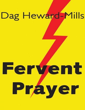# Dag Heward-Mills

# Fervent Prayer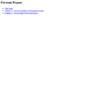# **Fervent Prayer**

- Title [Page](#page-2-0)
- **Chapter 1 Seven [Examples](#page-2-1) of Praying Fervently**
- [Chapter](#page-5-0) 2 Seven Signs of Fervent Prayer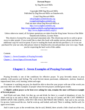### **Fervent Prayer**

by Dag Heward-Mills

\* \* \* \* \*

Copyright 2008 Dag Heward-Mills Published by Dag Heward-Mills on Smashwords.

<span id="page-2-0"></span>E mail Dag Heward-Mills [info@daghewardmillsbooks.org](mailto:info@daghewardmillsbooks.org) [evangelist@daghewardmills.org](mailto:evangelist@daghewardmills.org) Find out more about Dag Heward-Mills at: [http://www.daghewardmills.org](http://www.daghewardmills.org/) <http://www.daghewardmills.org/healingjesuscrusade/> <http://www.daghewardmills.org/lci/>

Unless otherwise stated, all Scripture quotations are taken from the King James Version of the Bible Smashwords Edition, License Notes

This ebook is licensed for your personal enjoyment only. This ebook may not be re-sold or given away to other people. If you would like to share this book with another person, please purchase an additional copy for each recipient. If you're reading this book and did not purchase it, or it was not purchased for your use only, then please return to Smashwords.com and purchase your own copy. Thank you for respecting the hard work of this author.

\* \* \* \* \*

**Contents** Chapter 1 - Seven [Examples](#page-2-1) of Praying Fervently [Chapter](#page-5-0) 2 - Seven Signs of Fervent Prayer

\* \* \* \* \*

## **Chapter 1 - Seven Examples of Praying Fervently**

<span id="page-2-1"></span>Praying fervently is one of the conditions for effective prayer. To pray fervently means to pray ardently, with passion and feeling. The word fervent means passionate, enthusiastic, zealous, fanatical, impassioned, keen, avid, burning, ardent and eager.

If someone is watching you pray, he should be able to describe your prayer with one of the words you just read. Here are Bible examples of people whose fervent prayers yielded great results.

### **1. Elijah's ardent prayer as he bent over asking for rain, remains the most well known example of fervent prayer.**

And Elijah said unto Ahab, Get thee up, eat and drink; for there is a sound of abundance of rain. So Ahab went up to eat and to drink. And Elijah went up to the top of Carmel; and HE CAST HIMSELF DOWN UPON THE EARTH, AND PUT HIS FACE BETWEEN HIS KNEES. And said to his servant, Go up now, look toward the sea. And he went up, and looked, and said, There is nothing. And he said, Go again seven times.

And it came to pass at the seventh time, that he said, Behold, there ariseth a little cloud out of the sea,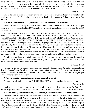like a man's hand. And he said, Go up, say unto Ahab, Prepare thy chariot, and get thee down, that the rain stop thee not. And it came to pass in the mean while, that the heaven was black with clouds and wind, and there was a great rain. And Ahab rode, and went to Jezreel. And the hand of the Lord was on Elijah; and he girded up his loins, and ran before Ahab to the entrance of Jezreel.

1 Kings 18:41-46

This is the classic example of fervent prayer that was spoken of by James. I see you praying fervently to release the rain of God's blessing on your ministry! Look at the example of Elijah as he prayed to God for rain.

### **2. Hannah's tearful emotional prayer for a child also yielded fantastic results.**

So Hannah rose up after they had eaten in Shiloh, and after they had drunk. Now Eli the priest sat upon a seat by a post of the temple of the LORD. And she was in bitterness of soul, and prayed unto the LORD, and wept sore.

And she vowed a vow, and said, O LORD of hosts, IF THOU WILT INDEED LOOK ON THE AFFLICTION OF THINE HANDMAID, AND REMEMBER ME, AND NOT FORGET THINE HANDMAID, BUT WILT GIVE UNTO THINE HANDMAID A MAN CHILD, THEN I WILL GIVE HIM UNTO THE LORD ALL THE DAYS OF HIS LIFE, AND THERE SHALL NO RAZOR COME UPON HIS HEAD. And it came to pass, as she continued praying before the LORD, that Eli marked her mouth. Now Hannah, she spake in her heart; only her lips moved, but her voice was not heard: therefore Eli thought she had been drunken. And Eli said unto her, How long wilt thou be drunken? put away thy wine from thee. And Hannah answered and said, No, my lord, I am a woman of a sorrowful spirit: I have drunk neither wine nor strong drink, but have poured out my soul before the LORD. Count not thine handmaid for a daughter of Belial: for out of the abundance of my complaint and grief have I spoken hitherto.

Then Eli answered and said, Go in peace: and the God of Israel grant thee thy petition that thou hast asked of him. And she said, Let thine handmaid find grace in thy sight. So the woman went her way, and did eat, and her countenance was no more sad.

1 Samuel 1:9-20

Hannah was in serious trouble. She desperately needed a breakthrough. She didn't just doodle and dawdle. To doodle and dawdle means to hang around, loiter, waste time and to make wavy impressions. She was dead serious about what she wanted from God. Dear pastor, fervent prayer will make you give birth to a new dimension in ministry.

### **3. Jacob's all-night wrestling prayer yielded tremendous results.**

And Jacob was left alone; and there WRESTLED A MAN with him until the breaking of the day.

Genesis 32:24

Jacob was blessed and so was his seed. Several thousand years have gone by but the fruit of this fervent prayer is evident for all to see. Israel still stands as one of the most favoured nations on the earth.

### **4. Moses' burning prayer for victory over Amalek, is another example of fervent prayer.**

Then came Amalek, and fought with Israel in Rephidim. And Moses said unto Joshua, Choose us out men, and go out, fight with Amalek: to morrow I will stand on the top of the hill with the rod of God in mine hand. So Joshua did as Moses had said to him, and fought with Amalek: and Moses had said to him, and fought with Amalek: and Moses, Aaron, and Hur went up to the top of the hill. And it came to pass, when MOSES HELD UP HIS HAND, THAT ISRAEL PREVAILED: and when he let down his hand, Amalek prevailed. But Moses' hands were heavy; and they took a stone, and put it under him, and he sat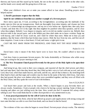thereon; and Aaron and Hur stayed up his hands, the one on the one side, and the other on the other side; and his hands were steady until the going down of the sun.

Exodus 17:8-12

When your children's lives are at stake you cannot afford to laze about. Doodling prayers never helped anyone!

### **5. David's passionate request that the Holy**

### **Spirit be not withdrawn from him was another example of a fervent prayer.**

Have mercy upon me, O God, according to thy lovingkindness: according unto the multitude of thy tender mercies blot out my transgressions. Wash me thoroughly from mine iniquity, and cleanse me from my sin. For I acknowledge my transgressions: and my sin is ever before me. Against thee, thee only, have I sinned, and done this evil in thy sight: that thou mightest be justified when thou speakest, and be clear when thou judgest. Behold, I was shapen in iniquity; and in sin did my mother conceive me. Behold, thou desirest truth in the inward parts: and in the hidden part thou shalt make me to know wisdom. Purge me with hyssop, and I shall be clean: wash me, and I shall be whiter than snow. Make me to hear joy and gladness; that the bones which thou hast broken may rejoice. Hide thy face from my sins, and blot out all mine iniquities. Create in me a clean heart, O God; and renew a right spirit in me.

CAST ME NOT AWAY FROM THY PRESENCE; AND TAKE NOT THY HOLY SPIRIT FROM ME.

Psalm 51:1-11

David knew what it meant if the Holy Spirit were to leave him. He couldn't afford to have that happen.

God does listen to passionate fervent prayers. He looks disdainfully at Christians who while away time just waiting for the prayer meeting to end.

### **6. The New Testament Church prayed fervently for the power of the Holy Spirit to be upon their leaders.**

And being let go, they went to their own company, and reported all that the chief priests and elders had said unto them. And when they heard that, they lifted up their voice to God with one accord, and said, Lord, thou God, which hast made heaven, and earth, and the sea, and all that in them is: By stretching forth thine hand to heal; and that signs and wonders may be done by the name of thy holy child Jesus. And when they had prayed, the place was shaken where they were assembled together; and they were all filled with the Holy Ghost, and they spake the word of God with boldness.

Acts 4:23,24,30,31

God heard their prayer and look at the results. When a church begins to pray fervently there are always results. Sometimes, I look at people who claim to be having a prayer meeting. Some of them are sleeping and others are just whiling away the time. How would you feel if someone fell asleep whilst talking to you? You would think that he is either disrespectful or very uninterested in you.

### **7. Jesus prayed passionately for the will of God to be done in his life.**

Who in the days of his flesh, when he had offered up prayers and supplications with strong crying and tears unto him that was able to save him from death, and was heard in that he feared.

Hebrews 5:7

The evidence of this was when he began to sweat blood. Fervent prayer always works. The ministry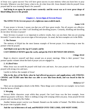of Jesus was a great success! You will have great success in your ministry when you learn how to pray fervently. Whenever you don't know what to do, do what Jesus did. Jesus shouted when he prayed! Jesus prayed until he was sweating! Read it for yourself!

**And being in an agony he prayed more earnestly: and his sweat was as it were great drops of blood falling down to the ground.**

**Luke 22:44**

### **Chapter 2 - Seven Signs of Fervent Prayer**

### <span id="page-5-0"></span>**The EFFECTUAL fervent prayer of a righteous man availeth much.**

### **James 5:16**

If your prayer is fervent, I assure you that you will have great results. Not all prayers are effective prayers. Some prayers are what I call doodling and dawdling prayers. Certainly, doodling and dawdling do not show fervency in prayer!

Since fervency in prayer is so important to achieve results, how can you know that you are praying fervently? I want to show you seven signs of fervent prayer. As usual, the best examples are in the Bible.

### **1. The Posture**

The ministry of Elijah has the most famous example of fervent prayer. It is interesting to note his posture when he prayed.

### **And Elijah went up to the top of Carmel; and he**

### **CAST HIMSELFDOWN upon the earth, and put his FACE BETWEEN HIS KNEES.**

### **1 Kings 18:42**

Begin to observe yourself and those around you at prayer meetings. What is their posture? Your posture speaks volumes about the kind of prayer you are engaged in.

### **2. A Lifted Voice**

When Jesus was on earth He prayed with loud cries and tears. Are your prayers soft or loud? Jesus prayed with strong cries and tears.

I prefer to follow the example of Jesus!

**Who in the days of his flesh, when he had offered up prayers and supplications with STRONG CRYING and TEARS unto him that was able to save him from death, and was heard in that he feared;**

### **Hebrews 5:7**

There are no meaningless details in the Bible. These things were written for our example. Let us learn from the heroes of faith.

### **3. Weeping**

Several Bible characters wept whilst they prayed. Our Lord Jesus was the best example. Jesus offered up prayers with tears. There is nothing wrong with weeping whilst you pray. Jesus prayed fervent prayers and was heard by His Father.

Another famous prayer warrior was Hannah. Hannah was the mother of Samuel. The Bible describes her prayer time in graphic detail.

### **And she was in bitterness of soul, and PRAYED UNTO THE LORD, AND WEPT SORE.**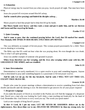### **4. Exhaustion**

Physical energy may be exacted from you when you pray. Jacob prayed all night. That must have been tiring.

Jesus also prayed till everyone around Him fell asleep.

**And he cometh (after praying) and findeth his disciples asleep…**

**Matthew 26:40**

Moses prayed so hard that people had to help him lift up his hands.

**But Moses hands were heavy: and they took a stone and put it under him, and he sat thereon and Aaron and Hur stayed up his hands…**

**Exodus 17:12**

### **5. Quiet Groaning**

### **And it came to pass, that she continued praying before the Lord, that Eli marked her mouth. Now Hannah, SHE SPAKE IN HER HEART; ONLY HER LIPS MOVED.**

### **1 Samuel 1:12**

This was definitely an example of fervent prayer. This woman prayed passionately for a child. There was no shouting or screaming.

The Bible says that Eli could not hear what she was praying about. He even thought she was drunk. This is what I call quiet groaning.

Jesus was another example of someone who groaned in prayer.

### **When Jesus therefore saw her weeping, and the Jews also weeping which came with her, HE GROANED IN THE SPIRIT, and was troubled.**

### **John 11:33**

### **6. Inner Determination**

Determination is not easily manifested. It is a quiet resolve to pray until something happens. Anyone who is determined to pray until something happens is a passionate or fervent prayer warrior.

### **And he said, Let me go, for the day breaketh. And he said, I WILL NOT LET THEE GO, EXCEPT THOU BLESS ME.**

### **Genesis 32:26**

People who come for prayer meetings without a determination to receive something from God often doodle and dawdle until the meeting is over. Be determined to get answers for all your prayer requests!

### **7. Desperate Language**

If you study the prayers of David as recorded in the Psalms you will find the language of a desperate man. David was a man who was looking for God's help; a man reaching out frantically for the hand of God. Remember this: *God listens to every word you say.* The words you speak matter!

Look at one example of King David's prayers.

**In thee O Lord, do I put my trust; LET ME NEVER BE ASHAMED: deliver me in thy righteousness. Bow down thine ear to me; DELIVER ME SPEEDILY: be thou my strong rock, for**